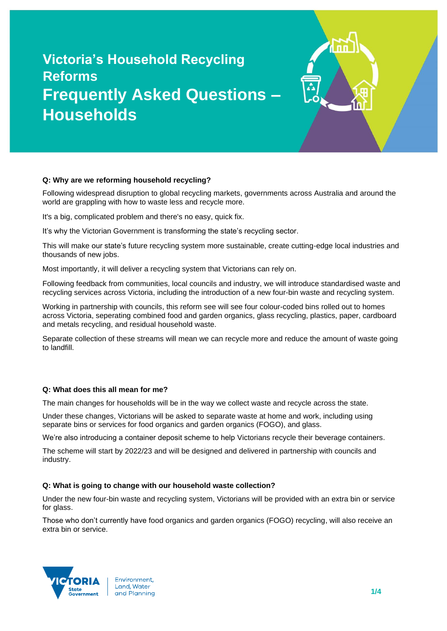# **Victoria's Household Recycling Reforms Frequently Asked Questions – Households**



Following widespread disruption to global recycling markets, governments across Australia and around the world are grappling with how to waste less and recycle more.

It's a big, complicated problem and there's no easy, quick fix.

It's why the Victorian Government is transforming the state's recycling sector.

This will make our state's future recycling system more sustainable, create cutting-edge local industries and thousands of new jobs.

Most importantly, it will deliver a recycling system that Victorians can rely on.

Following feedback from communities, local councils and industry, we will introduce standardised waste and recycling services across Victoria, including the introduction of a new four-bin waste and recycling system.

Working in partnership with councils, this reform see will see four colour-coded bins rolled out to homes across Victoria, seperating combined food and garden organics, glass recycling, plastics, paper, cardboard and metals recycling, and residual household waste.

Separate collection of these streams will mean we can recycle more and reduce the amount of waste going to landfill.

# **Q: What does this all mean for me?**

The main changes for households will be in the way we collect waste and recycle across the state.

Under these changes, Victorians will be asked to separate waste at home and work, including using separate bins or services for food organics and garden organics (FOGO), and glass.

We're also introducing a container deposit scheme to help Victorians recycle their beverage containers.

The scheme will start by 2022/23 and will be designed and delivered in partnership with councils and industry.

# **Q: What is going to change with our household waste collection?**

Under the new four-bin waste and recycling system, Victorians will be provided with an extra bin or service for glass.

Those who don't currently have food organics and garden organics (FOGO) recycling, will also receive an extra bin or service.

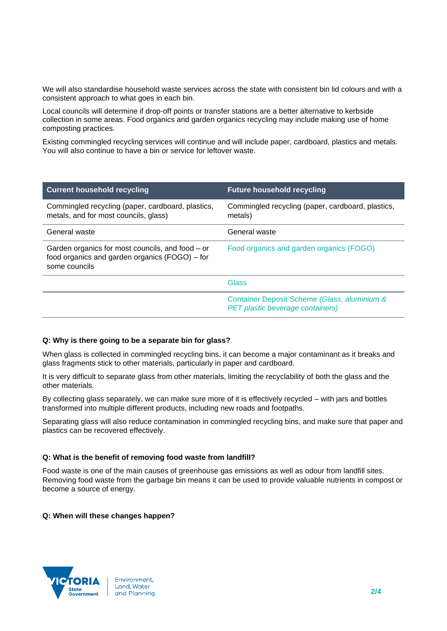We will also standardise household waste services across the state with consistent bin lid colours and with a consistent approach to what goes in each bin.

Local councils will determine if drop-off points or transfer stations are a better alternative to kerbside collection in some areas. Food organics and garden organics recycling may include making use of home composting practices.

Existing commingled recycling services will continue and will include paper, cardboard, plastics and metals. You will also continue to have a bin or service for leftover waste.

| <b>Current household recycling</b>                                                                                  | <b>Future household recycling</b>                                                |
|---------------------------------------------------------------------------------------------------------------------|----------------------------------------------------------------------------------|
| Commingled recycling (paper, cardboard, plastics,<br>metals, and for most councils, glass)                          | Commingled recycling (paper, cardboard, plastics,<br>metals)                     |
| General waste                                                                                                       | General waste                                                                    |
| Garden organics for most councils, and food – or<br>food organics and garden organics (FOGO) – for<br>some councils | Food organics and garden organics (FOGO)                                         |
|                                                                                                                     | Glass                                                                            |
|                                                                                                                     | Container Deposit Scheme (Glass, aluminium &<br>PET plastic beverage containers) |

# **Q: Why is there going to be a separate bin for glass?**

When glass is collected in commingled recycling bins, it can become a major contaminant as it breaks and glass fragments stick to other materials, particularly in paper and cardboard.

It is very difficult to separate glass from other materials, limiting the recyclability of both the glass and the other materials.

By collecting glass separately, we can make sure more of it is effectively recycled – with jars and bottles transformed into multiple different products, including new roads and footpaths.

Separating glass will also reduce contamination in commingled recycling bins, and make sure that paper and plastics can be recovered effectively.

#### **Q: What is the benefit of removing food waste from landfill?**

Food waste is one of the main causes of greenhouse gas emissions as well as odour from landfill sites. Removing food waste from the garbage bin means it can be used to provide valuable nutrients in compost or become a source of energy.

#### **Q: When will these changes happen?**

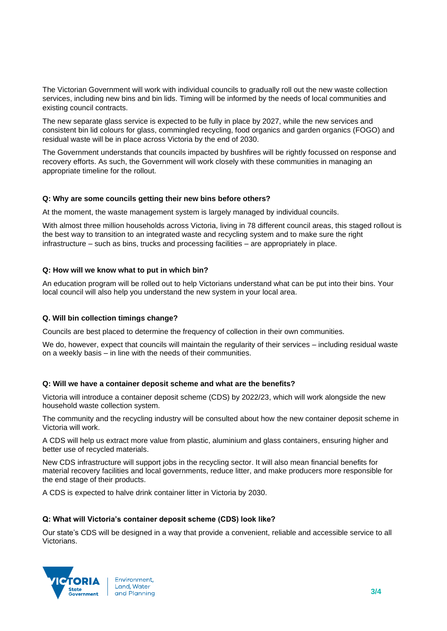The Victorian Government will work with individual councils to gradually roll out the new waste collection services, including new bins and bin lids. Timing will be informed by the needs of local communities and existing council contracts.

The new separate glass service is expected to be fully in place by 2027, while the new services and consistent bin lid colours for glass, commingled recycling, food organics and garden organics (FOGO) and residual waste will be in place across Victoria by the end of 2030.

The Government understands that councils impacted by bushfires will be rightly focussed on response and recovery efforts. As such, the Government will work closely with these communities in managing an appropriate timeline for the rollout.

# **Q: Why are some councils getting their new bins before others?**

At the moment, the waste management system is largely managed by individual councils.

With almost three million households across Victoria, living in 78 different council areas, this staged rollout is the best way to transition to an integrated waste and recycling system and to make sure the right infrastructure – such as bins, trucks and processing facilities – are appropriately in place.

# **Q: How will we know what to put in which bin?**

An education program will be rolled out to help Victorians understand what can be put into their bins. Your local council will also help you understand the new system in your local area.

# **Q. Will bin collection timings change?**

Councils are best placed to determine the frequency of collection in their own communities.

We do, however, expect that councils will maintain the regularity of their services – including residual waste on a weekly basis – in line with the needs of their communities.

# **Q: Will we have a container deposit scheme and what are the benefits?**

Victoria will introduce a container deposit scheme (CDS) by 2022/23, which will work alongside the new household waste collection system.

The community and the recycling industry will be consulted about how the new container deposit scheme in Victoria will work.

A CDS will help us extract more value from plastic, aluminium and glass containers, ensuring higher and better use of recycled materials.

New CDS infrastructure will support jobs in the recycling sector. It will also mean financial benefits for material recovery facilities and local governments, reduce litter, and make producers more responsible for the end stage of their products.

A CDS is expected to halve drink container litter in Victoria by 2030.

# **Q: What will Victoria's container deposit scheme (CDS) look like?**

Our state's CDS will be designed in a way that provide a convenient, reliable and accessible service to all Victorians.